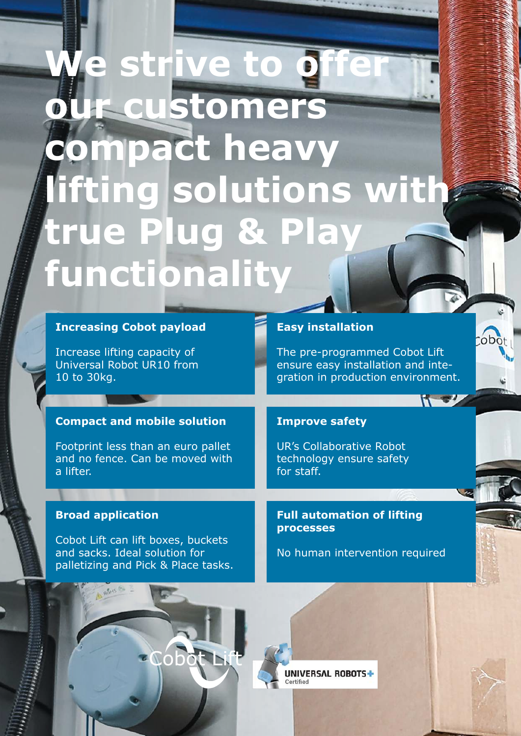## **Ne strive to of our customers compact heavy lifting solutions with true Plug & Play functionality**

| <b>Increasing Cobot payload</b>                                                                                                        | <b>Easy installation</b>                                                                                  |  |
|----------------------------------------------------------------------------------------------------------------------------------------|-----------------------------------------------------------------------------------------------------------|--|
| Increase lifting capacity of<br>Universal Robot UR10 from<br>10 to 30kg.                                                               | The pre-programmed Cobot Lift<br>ensure easy installation and inte-<br>gration in production environment. |  |
|                                                                                                                                        |                                                                                                           |  |
| <b>Compact and mobile solution</b>                                                                                                     | <b>Improve safety</b>                                                                                     |  |
| Footprint less than an euro pallet<br>and no fence. Can be moved with<br>a lifter.                                                     | <b>UR's Collaborative Robot</b><br>technology ensure safety<br>for staff.                                 |  |
|                                                                                                                                        |                                                                                                           |  |
| <b>Broad application</b><br>Cobot Lift can lift boxes, buckets<br>and sacks. Ideal solution for<br>palletizing and Pick & Place tasks. | <b>Full automation of lifting</b><br><b>processes</b><br>No human intervention required                   |  |
|                                                                                                                                        | IVERSAL ROBOTS+                                                                                           |  |